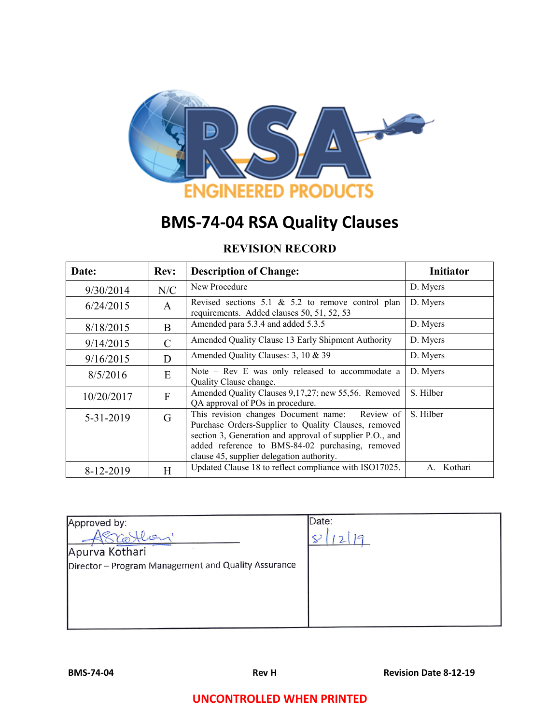

# **BMS-74-04 RSA Quality Clauses**

# **REVISION RECORD**

| Date:      | <b>Rev:</b>    | <b>Description of Change:</b>                                                                                                                                                                                                                                       | <b>Initiator</b> |
|------------|----------------|---------------------------------------------------------------------------------------------------------------------------------------------------------------------------------------------------------------------------------------------------------------------|------------------|
| 9/30/2014  | N/C            | New Procedure                                                                                                                                                                                                                                                       | D. Myers         |
| 6/24/2015  | $\mathsf{A}$   | Revised sections 5.1 $\&$ 5.2 to remove control plan<br>requirements. Added clauses 50, 51, 52, 53                                                                                                                                                                  | D. Myers         |
| 8/18/2015  | B              | Amended para 5.3.4 and added 5.3.5                                                                                                                                                                                                                                  | D. Myers         |
| 9/14/2015  | C              | Amended Quality Clause 13 Early Shipment Authority                                                                                                                                                                                                                  | D. Myers         |
| 9/16/2015  | D              | Amended Quality Clauses: 3, 10 & 39                                                                                                                                                                                                                                 | D. Myers         |
| 8/5/2016   | E              | Note $-$ Rev E was only released to accommodate a<br>Quality Clause change.                                                                                                                                                                                         | D. Myers         |
| 10/20/2017 | $\overline{F}$ | Amended Quality Clauses 9, 17, 27; new 55, 56. Removed<br>QA approval of POs in procedure.                                                                                                                                                                          | S. Hilber        |
| 5-31-2019  | G              | This revision changes Document name: Review of<br>Purchase Orders-Supplier to Quality Clauses, removed<br>section 3, Generation and approval of supplier P.O., and<br>added reference to BMS-84-02 purchasing, removed<br>clause 45, supplier delegation authority. | S. Hilber        |
| 8-12-2019  | H              | Updated Clause 18 to reflect compliance with ISO17025.                                                                                                                                                                                                              | Kothari<br>A     |

| Approved by:                                        | Date: |
|-----------------------------------------------------|-------|
|                                                     |       |
| Apurva Kothari                                      |       |
| Director - Program Management and Quality Assurance |       |
|                                                     |       |
|                                                     |       |
|                                                     |       |
|                                                     |       |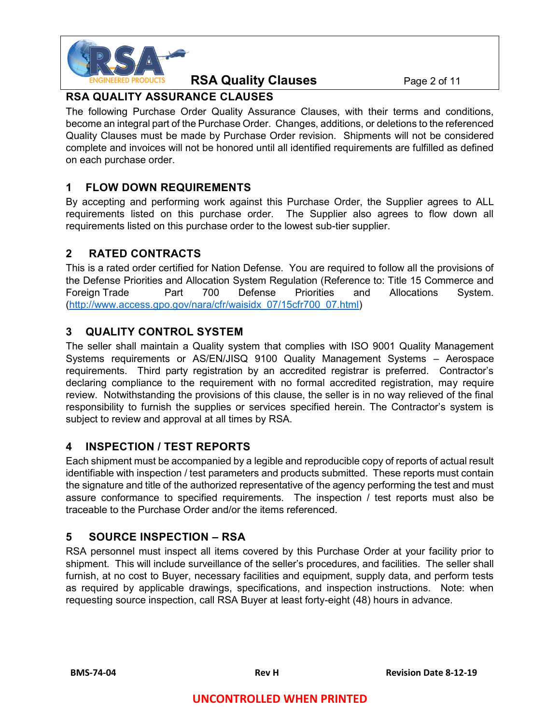

#### **RSA Quality Clauses** Page 2 of 11

## **RSA QUALITY ASSURANCE CLAUSES**

The following Purchase Order Quality Assurance Clauses, with their terms and conditions, become an integral part of the Purchase Order. Changes, additions, or deletions to the referenced Quality Clauses must be made by Purchase Order revision. Shipments will not be considered complete and invoices will not be honored until all identified requirements are fulfilled as defined on each purchase order.

## **1 FLOW DOWN REQUIREMENTS**

By accepting and performing work against this Purchase Order, the Supplier agrees to ALL requirements listed on this purchase order. The Supplier also agrees to flow down all requirements listed on this purchase order to the lowest sub-tier supplier.

## **2 RATED CONTRACTS**

This is a rated order certified for Nation Defense. You are required to follow all the provisions of the Defense Priorities and Allocation System Regulation (Reference to: Title 15 Commerce and Foreign Trade Part 700 Defense Priorities and Allocations System. [\(http://www.access.gpo.gov/nara/cfr/waisidx\\_07/15cfr700\\_07.html\)](http://www.access.gpo.gov/nara/cfr/waisidx_07/15cfr700_07.html)

## **3 QUALITY CONTROL SYSTEM**

The seller shall maintain a Quality system that complies with ISO 9001 Quality Management Systems requirements or AS/EN/JISQ 9100 Quality Management Systems – Aerospace requirements. Third party registration by an accredited registrar is preferred. Contractor's declaring compliance to the requirement with no formal accredited registration, may require review. Notwithstanding the provisions of this clause, the seller is in no way relieved of the final responsibility to furnish the supplies or services specified herein. The Contractor's system is subject to review and approval at all times by RSA.

#### **4 INSPECTION / TEST REPORTS**

Each shipment must be accompanied by a legible and reproducible copy of reports of actual result identifiable with inspection / test parameters and products submitted. These reports must contain the signature and title of the authorized representative of the agency performing the test and must assure conformance to specified requirements. The inspection / test reports must also be traceable to the Purchase Order and/or the items referenced.

## **5 SOURCE INSPECTION – RSA**

RSA personnel must inspect all items covered by this Purchase Order at your facility prior to shipment. This will include surveillance of the seller's procedures, and facilities. The seller shall furnish, at no cost to Buyer, necessary facilities and equipment, supply data, and perform tests as required by applicable drawings, specifications, and inspection instructions. Note: when requesting source inspection, call RSA Buyer at least forty-eight (48) hours in advance.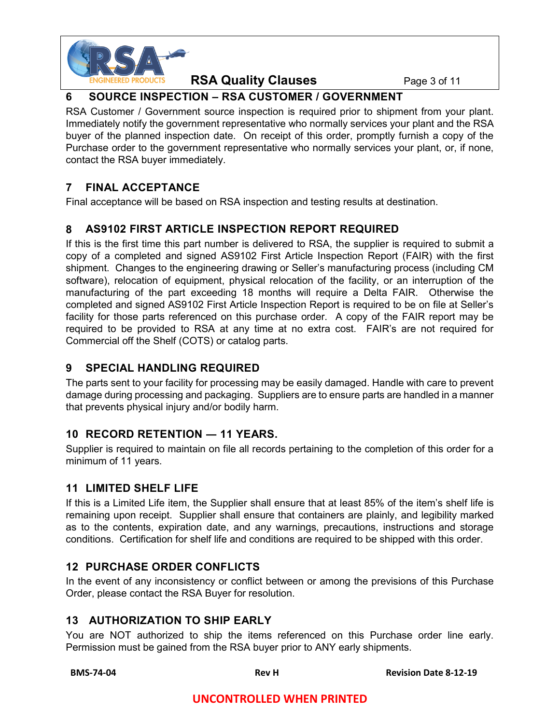

**RSA Quality Clauses** Page 3 of 11

## **6 SOURCE INSPECTION – RSA CUSTOMER / GOVERNMENT**

RSA Customer / Government source inspection is required prior to shipment from your plant. Immediately notify the government representative who normally services your plant and the RSA buyer of the planned inspection date. On receipt of this order, promptly furnish a copy of the Purchase order to the government representative who normally services your plant, or, if none, contact the RSA buyer immediately.

## **7 FINAL ACCEPTANCE**

Final acceptance will be based on RSA inspection and testing results at destination.

## **8 AS9102 FIRST ARTICLE INSPECTION REPORT REQUIRED**

If this is the first time this part number is delivered to RSA, the supplier is required to submit a copy of a completed and signed AS9102 First Article Inspection Report (FAIR) with the first shipment. Changes to the engineering drawing or Seller's manufacturing process (including CM software), relocation of equipment, physical relocation of the facility, or an interruption of the manufacturing of the part exceeding 18 months will require a Delta FAIR. Otherwise the completed and signed AS9102 First Article Inspection Report is required to be on file at Seller's facility for those parts referenced on this purchase order. A copy of the FAIR report may be required to be provided to RSA at any time at no extra cost. FAIR's are not required for Commercial off the Shelf (COTS) or catalog parts.

## **9 SPECIAL HANDLING REQUIRED**

The parts sent to your facility for processing may be easily damaged. Handle with care to prevent damage during processing and packaging. Suppliers are to ensure parts are handled in a manner that prevents physical injury and/or bodily harm.

## **10 RECORD RETENTION ― 11 YEARS.**

Supplier is required to maintain on file all records pertaining to the completion of this order for a minimum of 11 years.

#### **11 LIMITED SHELF LIFE**

If this is a Limited Life item, the Supplier shall ensure that at least 85% of the item's shelf life is remaining upon receipt. Supplier shall ensure that containers are plainly, and legibility marked as to the contents, expiration date, and any warnings, precautions, instructions and storage conditions. Certification for shelf life and conditions are required to be shipped with this order.

## **12 PURCHASE ORDER CONFLICTS**

In the event of any inconsistency or conflict between or among the previsions of this Purchase Order, please contact the RSA Buyer for resolution.

## **13 AUTHORIZATION TO SHIP EARLY**

You are NOT authorized to ship the items referenced on this Purchase order line early. Permission must be gained from the RSA buyer prior to ANY early shipments.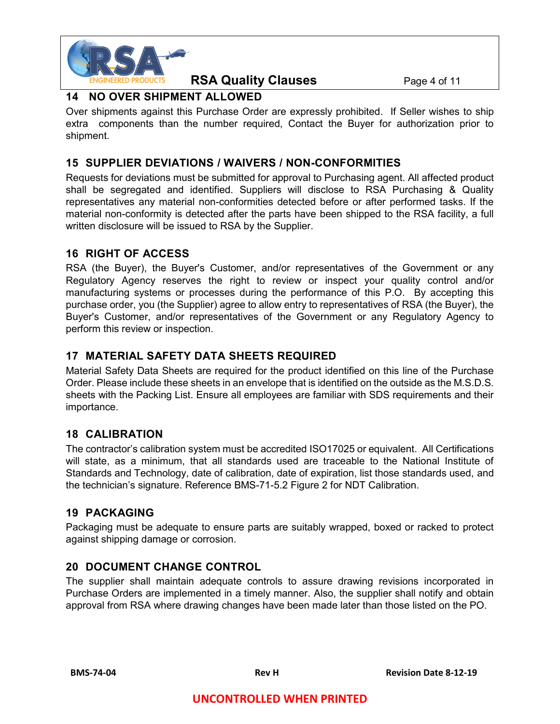

**RSA Quality Clauses** Page 4 of 11

## **14 NO OVER SHIPMENT ALLOWED**

Over shipments against this Purchase Order are expressly prohibited. If Seller wishes to ship extra components than the number required, Contact the Buyer for authorization prior to shipment.

#### **15 SUPPLIER DEVIATIONS / WAIVERS / NON-CONFORMITIES**

Requests for deviations must be submitted for approval to Purchasing agent. All affected product shall be segregated and identified. Suppliers will disclose to RSA Purchasing & Quality representatives any material non-conformities detected before or after performed tasks. If the material non-conformity is detected after the parts have been shipped to the RSA facility, a full written disclosure will be issued to RSA by the Supplier.

## **16 RIGHT OF ACCESS**

RSA (the Buyer), the Buyer's Customer, and/or representatives of the Government or any Regulatory Agency reserves the right to review or inspect your quality control and/or manufacturing systems or processes during the performance of this P.O. By accepting this purchase order, you (the Supplier) agree to allow entry to representatives of RSA (the Buyer), the Buyer's Customer, and/or representatives of the Government or any Regulatory Agency to perform this review or inspection.

## **17 MATERIAL SAFETY DATA SHEETS REQUIRED**

Material Safety Data Sheets are required for the product identified on this line of the Purchase Order. Please include these sheets in an envelope that is identified on the outside as the M.S.D.S. sheets with the Packing List. Ensure all employees are familiar with SDS requirements and their importance.

## **18 CALIBRATION**

The contractor's calibration system must be accredited ISO17025 or equivalent. All Certifications will state, as a minimum, that all standards used are traceable to the National Institute of Standards and Technology, date of calibration, date of expiration, list those standards used, and the technician's signature. Reference BMS-71-5.2 Figure 2 for NDT Calibration.

## **19 PACKAGING**

Packaging must be adequate to ensure parts are suitably wrapped, boxed or racked to protect against shipping damage or corrosion.

#### **20 DOCUMENT CHANGE CONTROL**

The supplier shall maintain adequate controls to assure drawing revisions incorporated in Purchase Orders are implemented in a timely manner. Also, the supplier shall notify and obtain approval from RSA where drawing changes have been made later than those listed on the PO.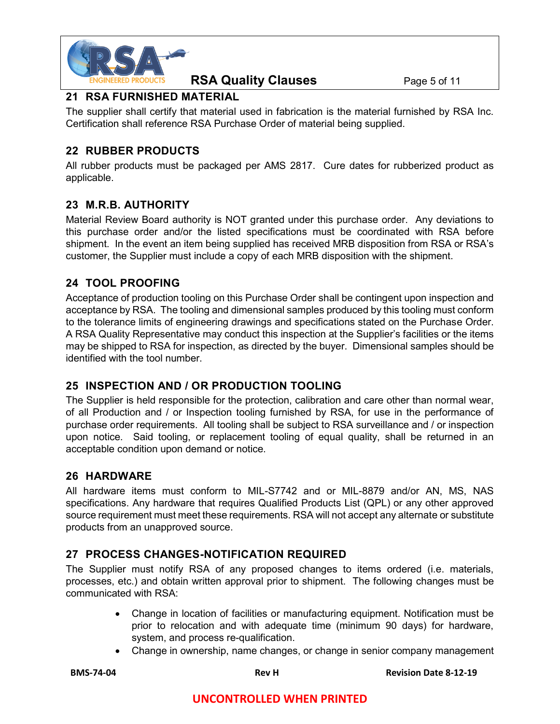

#### **RSA Quality Clauses** Page 5 of 11

## **21 RSA FURNISHED MATERIAL**

The supplier shall certify that material used in fabrication is the material furnished by RSA Inc. Certification shall reference RSA Purchase Order of material being supplied.

## **22 RUBBER PRODUCTS**

All rubber products must be packaged per AMS 2817. Cure dates for rubberized product as applicable.

## **23 M.R.B. AUTHORITY**

Material Review Board authority is NOT granted under this purchase order. Any deviations to this purchase order and/or the listed specifications must be coordinated with RSA before shipment. In the event an item being supplied has received MRB disposition from RSA or RSA's customer, the Supplier must include a copy of each MRB disposition with the shipment.

#### **24 TOOL PROOFING**

Acceptance of production tooling on this Purchase Order shall be contingent upon inspection and acceptance by RSA. The tooling and dimensional samples produced by this tooling must conform to the tolerance limits of engineering drawings and specifications stated on the Purchase Order. A RSA Quality Representative may conduct this inspection at the Supplier's facilities or the items may be shipped to RSA for inspection, as directed by the buyer. Dimensional samples should be identified with the tool number.

#### **25 INSPECTION AND / OR PRODUCTION TOOLING**

The Supplier is held responsible for the protection, calibration and care other than normal wear, of all Production and / or Inspection tooling furnished by RSA, for use in the performance of purchase order requirements. All tooling shall be subject to RSA surveillance and / or inspection upon notice. Said tooling, or replacement tooling of equal quality, shall be returned in an acceptable condition upon demand or notice.

#### **26 HARDWARE**

All hardware items must conform to MIL-S7742 and or MIL-8879 and/or AN, MS, NAS specifications. Any hardware that requires Qualified Products List (QPL) or any other approved source requirement must meet these requirements. RSA will not accept any alternate or substitute products from an unapproved source.

#### **27 PROCESS CHANGES-NOTIFICATION REQUIRED**

The Supplier must notify RSA of any proposed changes to items ordered (i.e. materials, processes, etc.) and obtain written approval prior to shipment. The following changes must be communicated with RSA:

- Change in location of facilities or manufacturing equipment. Notification must be prior to relocation and with adequate time (minimum 90 days) for hardware, system, and process re-qualification.
- Change in ownership, name changes, or change in senior company management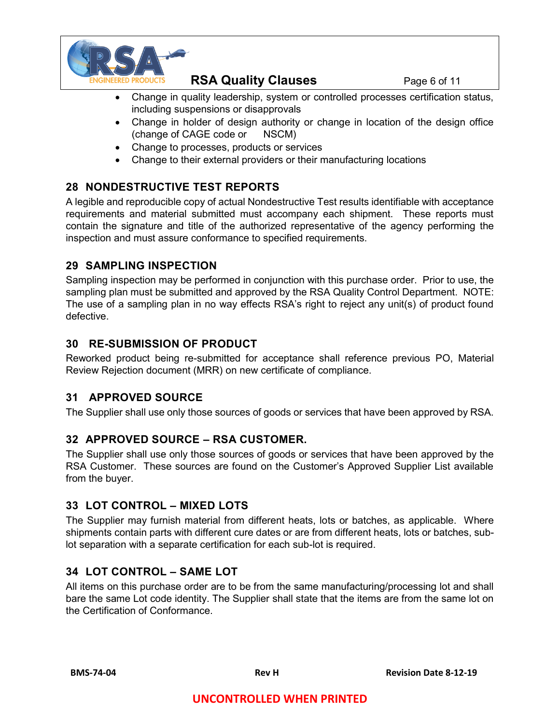

**RSA Quality Clauses** Page 6 of 11

- Change in quality leadership, system or controlled processes certification status, including suspensions or disapprovals
- Change in holder of design authority or change in location of the design office (change of CAGE code or NSCM)
- Change to processes, products or services
- Change to their external providers or their manufacturing locations

## **28 NONDESTRUCTIVE TEST REPORTS**

A legible and reproducible copy of actual Nondestructive Test results identifiable with acceptance requirements and material submitted must accompany each shipment. These reports must contain the signature and title of the authorized representative of the agency performing the inspection and must assure conformance to specified requirements.

## **29 SAMPLING INSPECTION**

Sampling inspection may be performed in conjunction with this purchase order. Prior to use, the sampling plan must be submitted and approved by the RSA Quality Control Department. NOTE: The use of a sampling plan in no way effects RSA's right to reject any unit(s) of product found defective.

## **30 RE-SUBMISSION OF PRODUCT**

Reworked product being re-submitted for acceptance shall reference previous PO, Material Review Rejection document (MRR) on new certificate of compliance.

## **31 APPROVED SOURCE**

The Supplier shall use only those sources of goods or services that have been approved by RSA.

## **32 APPROVED SOURCE – RSA CUSTOMER.**

The Supplier shall use only those sources of goods or services that have been approved by the RSA Customer. These sources are found on the Customer's Approved Supplier List available from the buyer.

#### **33 LOT CONTROL – MIXED LOTS**

The Supplier may furnish material from different heats, lots or batches, as applicable. Where shipments contain parts with different cure dates or are from different heats, lots or batches, sublot separation with a separate certification for each sub-lot is required.

#### **34 LOT CONTROL – SAME LOT**

All items on this purchase order are to be from the same manufacturing/processing lot and shall bare the same Lot code identity. The Supplier shall state that the items are from the same lot on the Certification of Conformance.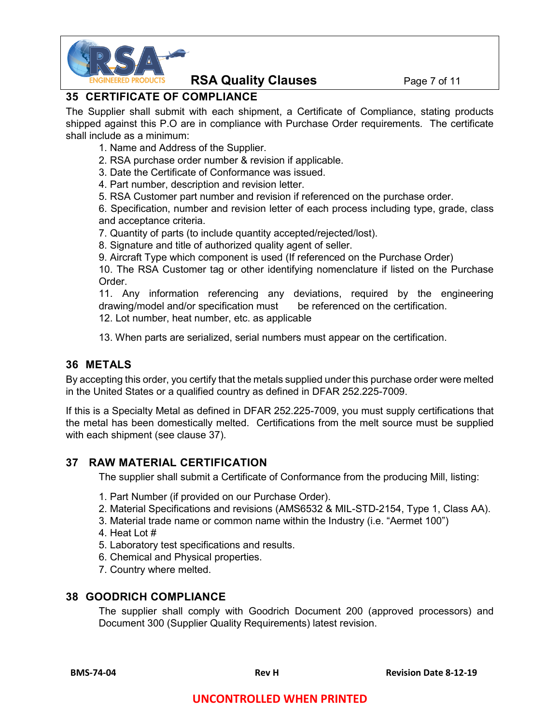

#### **RSA Quality Clauses** Page 7 of 11

## **35 CERTIFICATE OF COMPLIANCE**

The Supplier shall submit with each shipment, a Certificate of Compliance, stating products shipped against this P.O are in compliance with Purchase Order requirements. The certificate shall include as a minimum:

- 1. Name and Address of the Supplier.
- 2. RSA purchase order number & revision if applicable.
- 3. Date the Certificate of Conformance was issued.
- 4. Part number, description and revision letter.
- 5. RSA Customer part number and revision if referenced on the purchase order.

6. Specification, number and revision letter of each process including type, grade, class and acceptance criteria.

7. Quantity of parts (to include quantity accepted/rejected/lost).

8. Signature and title of authorized quality agent of seller.

9. Aircraft Type which component is used (If referenced on the Purchase Order)

10. The RSA Customer tag or other identifying nomenclature if listed on the Purchase Order.

11. Any information referencing any deviations, required by the engineering drawing/model and/or specification must be referenced on the certification. 12. Lot number, heat number, etc. as applicable

13. When parts are serialized, serial numbers must appear on the certification.

#### **36 METALS**

By accepting this order, you certify that the metals supplied under this purchase order were melted in the United States or a qualified country as defined in DFAR 252.225-7009.

If this is a Specialty Metal as defined in DFAR 252.225-7009, you must supply certifications that the metal has been domestically melted. Certifications from the melt source must be supplied with each shipment (see clause 37).

#### **37 RAW MATERIAL CERTIFICATION**

The supplier shall submit a Certificate of Conformance from the producing Mill, listing:

- 1. Part Number (if provided on our Purchase Order).
- 2. Material Specifications and revisions (AMS6532 & MIL-STD-2154, Type 1, Class AA).
- 3. Material trade name or common name within the Industry (i.e. "Aermet 100")
- 4. Heat Lot #
- 5. Laboratory test specifications and results.
- 6. Chemical and Physical properties.
- 7. Country where melted.

#### **38 GOODRICH COMPLIANCE**

The supplier shall comply with Goodrich Document 200 (approved processors) and Document 300 (Supplier Quality Requirements) latest revision.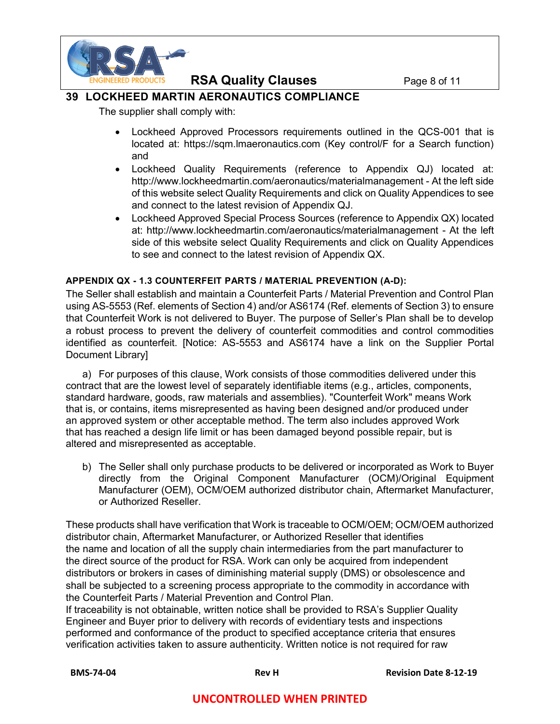

#### **RSA Quality Clauses** Page 8 of 11

#### **39 LOCKHEED MARTIN AERONAUTICS COMPLIANCE**

The supplier shall comply with:

- Lockheed Approved Processors requirements outlined in the QCS-001 that is located at: https://sqm.lmaeronautics.com (Key control/F for a Search function) and
- Lockheed Quality Requirements (reference to Appendix QJ) located at: http://www.lockheedmartin.com/aeronautics/materialmanagement - At the left side of this website select Quality Requirements and click on Quality Appendices to see and connect to the latest revision of Appendix QJ.
- Lockheed Approved Special Process Sources (reference to Appendix QX) located at: http://www.lockheedmartin.com/aeronautics/materialmanagement - At the left side of this website select Quality Requirements and click on Quality Appendices to see and connect to the latest revision of Appendix QX.

#### **APPENDIX QX - 1.3 COUNTERFEIT PARTS / MATERIAL PREVENTION (A-D):**

The Seller shall establish and maintain a Counterfeit Parts / Material Prevention and Control Plan using AS-5553 (Ref. elements of Section 4) and/or AS6174 (Ref. elements of Section 3) to ensure that Counterfeit Work is not delivered to Buyer. The purpose of Seller's Plan shall be to develop a robust process to prevent the delivery of counterfeit commodities and control commodities identified as counterfeit. [Notice: AS-5553 and AS6174 have a link on the Supplier Portal Document Library]

a) For purposes of this clause, Work consists of those commodities delivered under this contract that are the lowest level of separately identifiable items (e.g., articles, components, standard hardware, goods, raw materials and assemblies). "Counterfeit Work" means Work that is, or contains, items misrepresented as having been designed and/or produced under an approved system or other acceptable method. The term also includes approved Work that has reached a design life limit or has been damaged beyond possible repair, but is altered and misrepresented as acceptable.

b) The Seller shall only purchase products to be delivered or incorporated as Work to Buyer directly from the Original Component Manufacturer (OCM)/Original Equipment Manufacturer (OEM), OCM/OEM authorized distributor chain, Aftermarket Manufacturer, or Authorized Reseller.

These products shall have verification that Work is traceable to OCM/OEM; OCM/OEM authorized distributor chain, Aftermarket Manufacturer, or Authorized Reseller that identifies the name and location of all the supply chain intermediaries from the part manufacturer to the direct source of the product for RSA. Work can only be acquired from independent distributors or brokers in cases of diminishing material supply (DMS) or obsolescence and shall be subjected to a screening process appropriate to the commodity in accordance with the Counterfeit Parts / Material Prevention and Control Plan.

If traceability is not obtainable, written notice shall be provided to RSA's Supplier Quality Engineer and Buyer prior to delivery with records of evidentiary tests and inspections performed and conformance of the product to specified acceptance criteria that ensures verification activities taken to assure authenticity. Written notice is not required for raw

 **BMS-74-04 Rev H Revision Date 8-12-19**

#### **UNCONTROLLED WHEN PRINTED**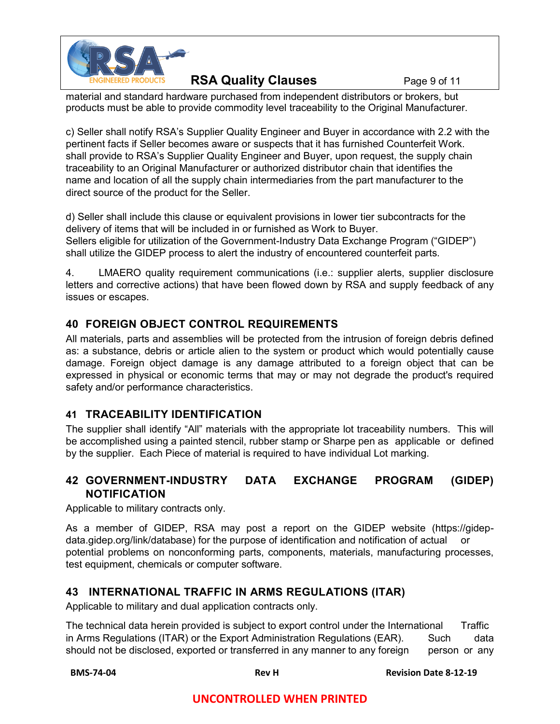

## **RSA Quality Clauses** Page 9 of 11

material and standard hardware purchased from independent distributors or brokers, but products must be able to provide commodity level traceability to the Original Manufacturer.

c) Seller shall notify RSA's Supplier Quality Engineer and Buyer in accordance with 2.2 with the pertinent facts if Seller becomes aware or suspects that it has furnished Counterfeit Work. shall provide to RSA's Supplier Quality Engineer and Buyer, upon request, the supply chain traceability to an Original Manufacturer or authorized distributor chain that identifies the name and location of all the supply chain intermediaries from the part manufacturer to the direct source of the product for the Seller.

d) Seller shall include this clause or equivalent provisions in lower tier subcontracts for the delivery of items that will be included in or furnished as Work to Buyer. Sellers eligible for utilization of the Government-Industry Data Exchange Program ("GIDEP") shall utilize the GIDEP process to alert the industry of encountered counterfeit parts.

4. LMAERO quality requirement communications (i.e.: supplier alerts, supplier disclosure letters and corrective actions) that have been flowed down by RSA and supply feedback of any issues or escapes.

## **40 FOREIGN OBJECT CONTROL REQUIREMENTS**

All materials, parts and assemblies will be protected from the intrusion of foreign debris defined as: a substance, debris or article alien to the system or product which would potentially cause damage. Foreign object damage is any damage attributed to a foreign object that can be expressed in physical or economic terms that may or may not degrade the product's required safety and/or performance characteristics.

## **41 TRACEABILITY IDENTIFICATION**

The supplier shall identify "All" materials with the appropriate lot traceability numbers. This will be accomplished using a painted stencil, rubber stamp or Sharpe pen as applicable or defined by the supplier. Each Piece of material is required to have individual Lot marking.

## **42 GOVERNMENT-INDUSTRY DATA EXCHANGE PROGRAM (GIDEP) NOTIFICATION**

Applicable to military contracts only.

As a member of GIDEP, RSA may post a report on the GIDEP website (https://gidepdata.gidep.org/link/database) for the purpose of identification and notification of actual or potential problems on nonconforming parts, components, materials, manufacturing processes, test equipment, chemicals or computer software.

## **43 INTERNATIONAL TRAFFIC IN ARMS REGULATIONS (ITAR)**

Applicable to military and dual application contracts only.

The technical data herein provided is subject to export control under the International Traffic in Arms Regulations (ITAR) or the Export Administration Regulations (EAR). Such data should not be disclosed, exported or transferred in any manner to any foreign person or any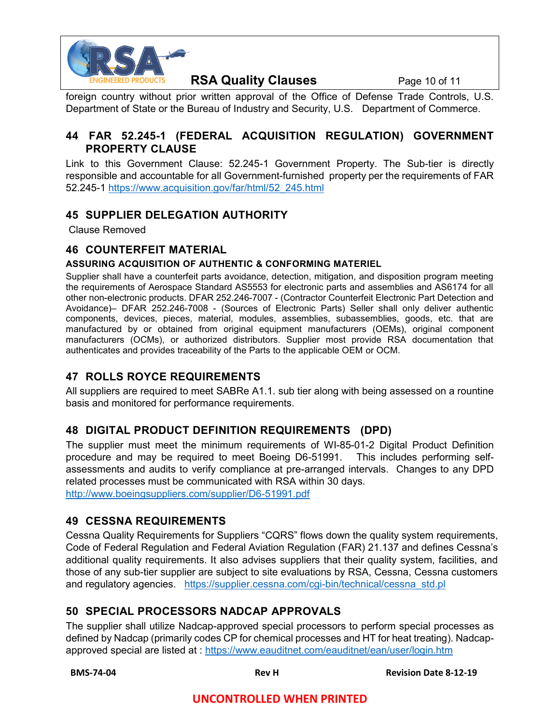

## **RSA Quality Clauses** Page 10 of 11

foreign country without prior written approval of the Office of Defense Trade Controls, U.S. Department of State or the Bureau of Industry and Security, U.S. Department of Commerce.

#### **44 FAR 52.245-1 (FEDERAL ACQUISITION REGULATION) GOVERNMENT PROPERTY CLAUSE**

Link to this Government Clause: 52.245-1 Government Property. The Sub-tier is directly responsible and accountable for all Government-furnished property per the requirements of FAR 52.245-1 [https://www.acquisition.gov/far/html/52\\_245.html](https://www.acquisition.gov/far/html/52_245.html)

#### **45 SUPPLIER DELEGATION AUTHORITY**

Clause Removed

#### **46 COUNTERFEIT MATERIAL**

#### **ASSURING ACQUISITION OF AUTHENTIC & CONFORMING MATERIEL**

Supplier shall have a counterfeit parts avoidance, detection, mitigation, and disposition program meeting the requirements of Aerospace Standard AS5553 for electronic parts and assemblies and AS6174 for all other non-electronic products. DFAR 252.246-7007 - (Contractor Counterfeit Electronic Part Detection and Avoidance)– DFAR 252.246-7008 - (Sources of Electronic Parts) Seller shall only deliver authentic components, devices, pieces, material, modules, assemblies, subassemblies, goods, etc. that are manufactured by or obtained from original equipment manufacturers (OEMs), original component manufacturers (OCMs), or authorized distributors. Supplier most provide RSA documentation that authenticates and provides traceability of the Parts to the applicable OEM or OCM.

#### **47 ROLLS ROYCE REQUIREMENTS**

All suppliers are required to meet SABRe A1.1. sub tier along with being assessed on a rountine basis and monitored for performance requirements.

#### **48 DIGITAL PRODUCT DEFINITION REQUIREMENTS (DPD)**

The supplier must meet the minimum requirements of WI-85-01-2 Digital Product Definition procedure and may be required to meet Boeing D6-51991. This includes performing selfassessments and audits to verify compliance at pre-arranged intervals. Changes to any DPD related processes must be communicated with RSA within 30 days. <http://www.boeingsuppliers.com/supplier/D6-51991.pdf>

#### **49 CESSNA REQUIREMENTS**

Cessna Quality Requirements for Suppliers "CQRS" flows down the quality system requirements, Code of Federal Regulation and Federal Aviation Regulation (FAR) 21.137 and defines Cessna's additional quality requirements. It also advises suppliers that their quality system, facilities, and those of any sub-tier supplier are subject to site evaluations by RSA, Cessna, Cessna customers and regulatory agencies. [https://supplier.cessna.com/cgi-bin/technical/cessna\\_std.pl](https://supplier.cessna.com/cgi-bin/technical/cessna_std.pl)

#### **50 SPECIAL PROCESSORS NADCAP APPROVALS**

The supplier shall utilize Nadcap-approved special processors to perform special processes as defined by Nadcap (primarily codes CP for chemical processes and HT for heat treating). Nadcapapproved special are listed at :<https://www.eauditnet.com/eauditnet/ean/user/login.htm>

 **BMS-74-04 Rev H Revision Date 8-12-19**

#### **UNCONTROLLED WHEN PRINTED**